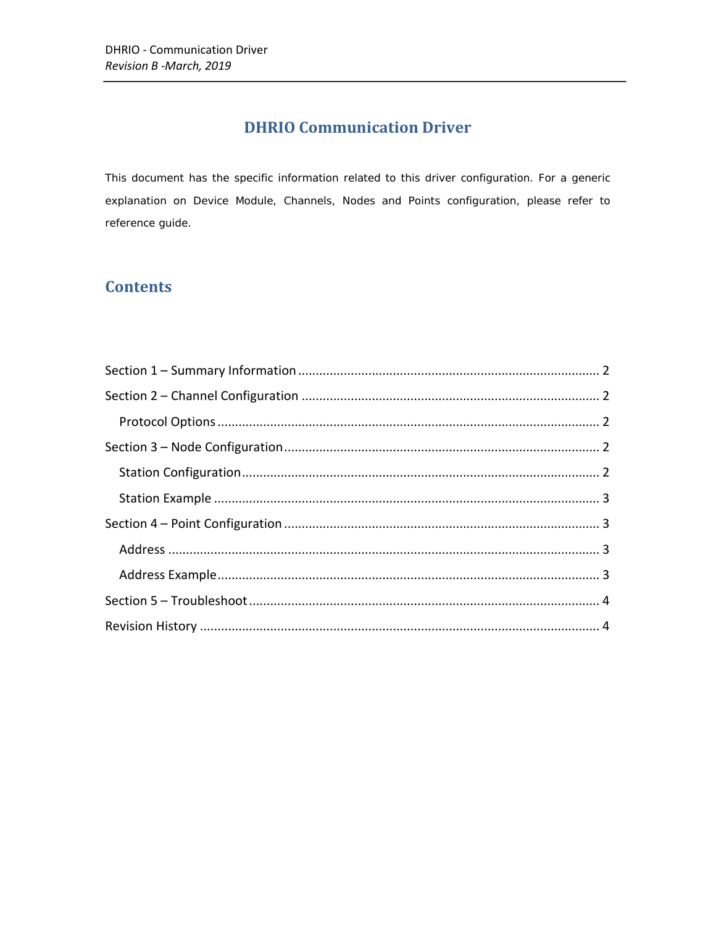# **DHRIO Communication Driver**

This document has the specific information related to this driver configuration. For a generic explanation on Device Module, Channels, Nodes and Points configuration, please refer to reference guide.

## **Contents**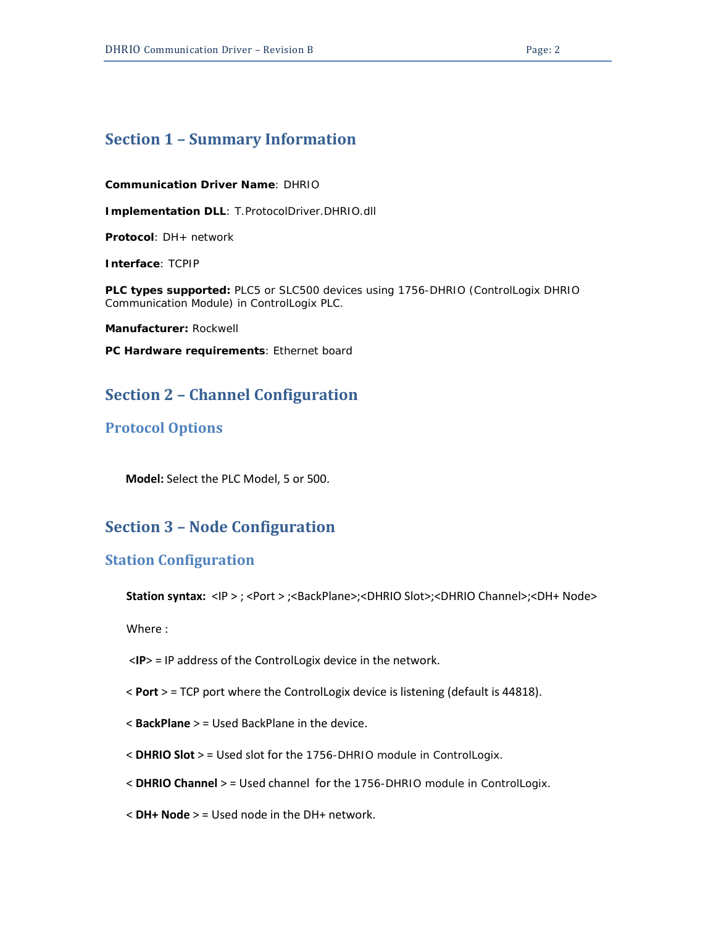## <span id="page-1-0"></span>**Section 1 – Summary Information**

**Communication Driver Name**: DHRIO

**Implementation DLL**: T.ProtocolDriver.DHRIO.dll

**Protocol**: DH+ network

**Interface**: TCPIP

**PLC types supported:** PLC5 or SLC500 devices using 1756-DHRIO (ControlLogix DHRIO Communication Module) in ControlLogix PLC.

**Manufacturer:** Rockwell

<span id="page-1-1"></span>**PC Hardware requirements**: Ethernet board

## **Section 2 – Channel Configuration**

#### <span id="page-1-2"></span>**Protocol Options**

 **Model:** Select the PLC Model, 5 or 500.

### <span id="page-1-3"></span>**Section 3 – Node Configuration**

#### <span id="page-1-4"></span>**Station Configuration**

Station syntax: <IP > ; <Port > ;<BackPlane>;<DHRIO Slot>;<DHRIO Channel>;<DH+ Node>

Where :

<**IP**> = IP address of the ControlLogix device in the network.

- < **Port** > = TCP port where the ControlLogix device is listening (default is 44818).
- < **BackPlane** > = Used BackPlane in the device.
- < **DHRIO Slot** > = Used slot for the 1756-DHRIO module in ControlLogix.
- < **DHRIO Channel** > = Used channel for the 1756-DHRIO module in ControlLogix.
- < **DH+ Node** > = Used node in the DH+ network.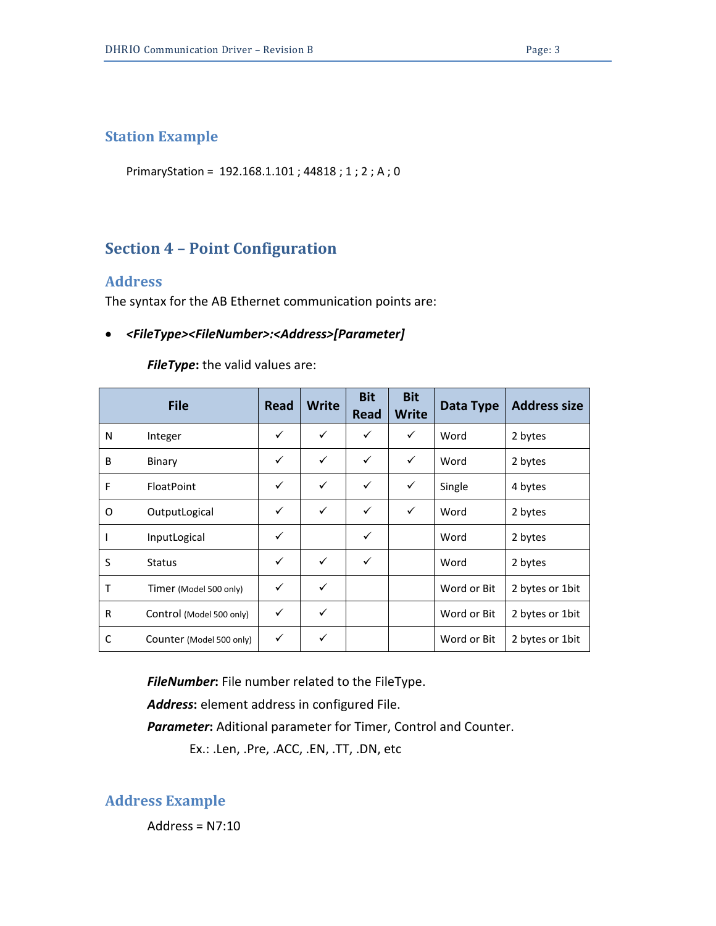## <span id="page-2-0"></span>**Station Example**

PrimaryStation = 192.168.1.101 ; 44818 ; 1 ; 2 ; A ; 0

# <span id="page-2-1"></span>**Section 4 – Point Configuration**

### <span id="page-2-2"></span>**Address**

The syntax for the AB Ethernet communication points are:

### • *<FileType><FileNumber>:<Address>[Parameter]*

#### *FileType***:** the valid values are:

|   | <b>File</b>              | Read         | <b>Write</b> | <b>Bit</b><br>Read | <b>Bit</b><br><b>Write</b> | Data Type   | <b>Address size</b> |
|---|--------------------------|--------------|--------------|--------------------|----------------------------|-------------|---------------------|
| N | Integer                  | $\checkmark$ | ✓            | ✓                  | ✓                          | Word        | 2 bytes             |
| B | Binary                   | $\checkmark$ | ✓            | ✓                  | ✓                          | Word        | 2 bytes             |
| F | <b>FloatPoint</b>        | $\checkmark$ | ✓            | ✓                  | ✓                          | Single      | 4 bytes             |
| 0 | OutputLogical            | $\checkmark$ | ✓            | ✓                  | ✓                          | Word        | 2 bytes             |
|   | InputLogical             | $\checkmark$ |              | ✓                  |                            | Word        | 2 bytes             |
| S | Status                   | ✓            | ✓            | ✓                  |                            | Word        | 2 bytes             |
| T | Timer (Model 500 only)   | ✓            | ✓            |                    |                            | Word or Bit | 2 bytes or 1bit     |
| R | Control (Model 500 only) | $\checkmark$ | ✓            |                    |                            | Word or Bit | 2 bytes or 1bit     |
| C | Counter (Model 500 only) | ✓            | ✓            |                    |                            | Word or Bit | 2 bytes or 1 bit    |

*FileNumber***:** File number related to the FileType.

*Address***:** element address in configured File.

*Parameter***:** Aditional parameter for Timer, Control and Counter.

Ex.: .Len, .Pre, .ACC, .EN, .TT, .DN, etc

<span id="page-2-3"></span>**Address Example**

Address =  $N7:10$